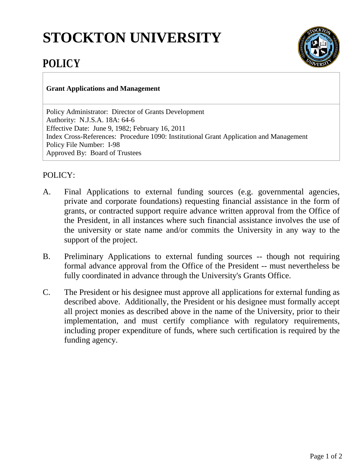## **STOCKTON UNIVERSITY**



## **POLICY**

## **Grant Applications and Management**

Policy Administrator: Director of Grants Development Authority: N.J.S.A. 18A: 64-6 Effective Date: June 9, 1982; February 16, 2011 Index Cross-References: Procedure 1090: Institutional Grant Application and Management Policy File Number: I-98 Approved By: Board of Trustees

## POLICY:

- A. Final Applications to external funding sources (e.g. governmental agencies, private and corporate foundations) requesting financial assistance in the form of grants, or contracted support require advance written approval from the Office of the President, in all instances where such financial assistance involves the use of the university or state name and/or commits the University in any way to the support of the project.
- B. Preliminary Applications to external funding sources -- though not requiring formal advance approval from the Office of the President -- must nevertheless be fully coordinated in advance through the University's Grants Office.
- C. The President or his designee must approve all applications for external funding as described above. Additionally, the President or his designee must formally accept all project monies as described above in the name of the University, prior to their implementation, and must certify compliance with regulatory requirements, including proper expenditure of funds, where such certification is required by the funding agency.